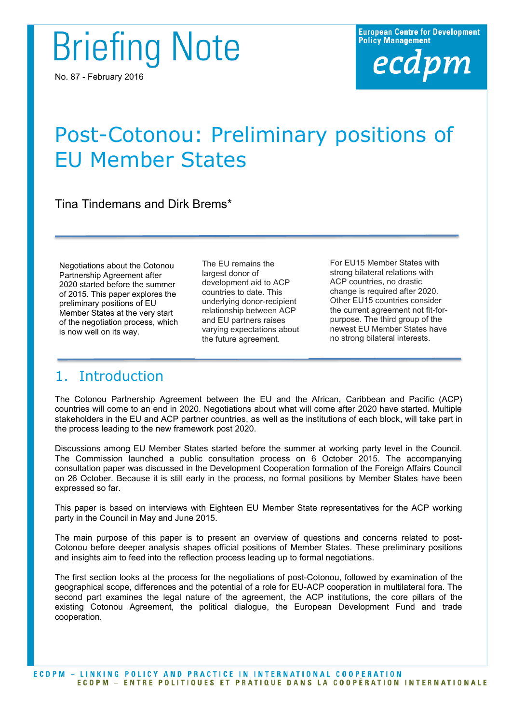**Briefing Note** 

No. 87 - February 2016

# Post-Cotonou: Preliminary positions of EU Member States

Tina Tindemans and Dirk Brems\*

Negotiations about the Cotonou Partnership Agreement after 2020 started before the summer of 2015. This paper explores the preliminary positions of EU Member States at the very start of the negotiation process, which is now well on its way.

The EU remains the largest donor of development aid to ACP countries to date. This underlying donor-recipient relationship between ACP and EU partners raises varying expectations about the future agreement.

For EU15 Member States with strong bilateral relations with ACP countries, no drastic change is required after 2020. Other EU15 countries consider the current agreement not fit-forpurpose. The third group of the newest EU Member States have no strong bilateral interests.

# 1. Introduction

The Cotonou Partnership Agreement between the EU and the African, Caribbean and Pacific (ACP) countries will come to an end in 2020. Negotiations about what will come after 2020 have started. Multiple stakeholders in the EU and ACP partner countries, as well as the institutions of each block, will take part in the process leading to the new framework post 2020.

Discussions among EU Member States started before the summer at working party level in the Council. The Commission launched a public consultation process on 6 October 2015. The accompanying consultation paper was discussed in the Development Cooperation formation of the Foreign Affairs Council on 26 October. Because it is still early in the process, no formal positions by Member States have been expressed so far.

This paper is based on interviews with Eighteen EU Member State representatives for the ACP working party in the Council in May and June 2015.

The main purpose of this paper is to present an overview of questions and concerns related to post-Cotonou before deeper analysis shapes official positions of Member States. These preliminary positions and insights aim to feed into the reflection process leading up to formal negotiations.

The first section looks at the process for the negotiations of post-Cotonou, followed by examination of the geographical scope, differences and the potential of a role for EU-ACP cooperation in multilateral fora. The second part examines the legal nature of the agreement, the ACP institutions, the core pillars of the existing Cotonou Agreement, the political dialogue, the European Development Fund and trade cooperation.

**ECDPM - LINKING POLICY AND PRACTICE IN INTERNATIONAL COOPERATION** ECDPM - ENTRE POLITIQUES ET PRATIQUE DANS LA COOPÉRATION INTERNATIONALE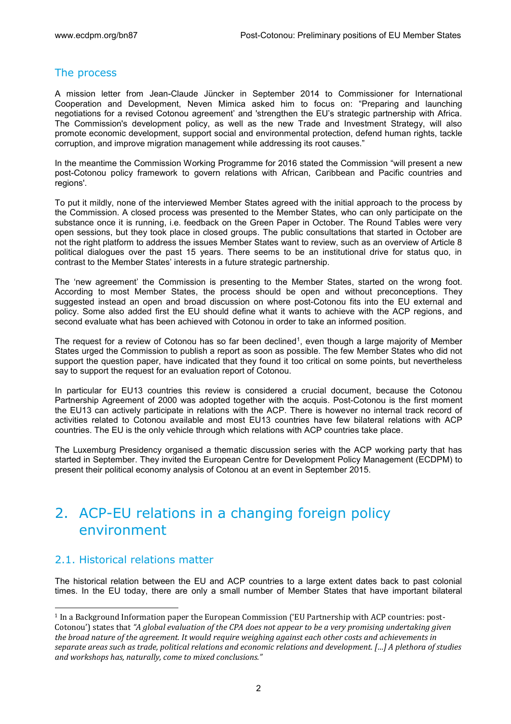#### The process

A mission letter from Jean-Claude Jüncker in September 2014 to Commissioner for International Cooperation and Development, Neven Mimica asked him to focus on: "Preparing and launching negotiations for a revised Cotonou agreement' and 'strengthen the EU's strategic partnership with Africa. The Commission's development policy, as well as the new Trade and Investment Strategy, will also promote economic development, support social and environmental protection, defend human rights, tackle corruption, and improve migration management while addressing its root causes."

In the meantime the Commission Working Programme for 2016 stated the Commission "will present a new post-Cotonou policy framework to govern relations with African, Caribbean and Pacific countries and regions'.

To put it mildly, none of the interviewed Member States agreed with the initial approach to the process by the Commission. A closed process was presented to the Member States, who can only participate on the substance once it is running, i.e. feedback on the Green Paper in October. The Round Tables were very open sessions, but they took place in closed groups. The public consultations that started in October are not the right platform to address the issues Member States want to review, such as an overview of Article 8 political dialogues over the past 15 years. There seems to be an institutional drive for status quo, in contrast to the Member States' interests in a future strategic partnership.

The 'new agreement' the Commission is presenting to the Member States, started on the wrong foot. According to most Member States, the process should be open and without preconceptions. They suggested instead an open and broad discussion on where post-Cotonou fits into the EU external and policy. Some also added first the EU should define what it wants to achieve with the ACP regions, and second evaluate what has been achieved with Cotonou in order to take an informed position.

The request for a review of Cotonou has so far been declined<sup>1</sup>, even though a large majority of Member States urged the Commission to publish a report as soon as possible. The few Member States who did not support the question paper, have indicated that they found it too critical on some points, but nevertheless say to support the request for an evaluation report of Cotonou.

In particular for EU13 countries this review is considered a crucial document, because the Cotonou Partnership Agreement of 2000 was adopted together with the acquis. Post-Cotonou is the first moment the EU13 can actively participate in relations with the ACP. There is however no internal track record of activities related to Cotonou available and most EU13 countries have few bilateral relations with ACP countries. The EU is the only vehicle through which relations with ACP countries take place.

The Luxemburg Presidency organised a thematic discussion series with the ACP working party that has started in September. They invited the European Centre for Development Policy Management (ECDPM) to present their political economy analysis of Cotonou at an event in September 2015.

# 2. ACP-EU relations in a changing foreign policy environment

#### 2.1. Historical relations matter

l

The historical relation between the EU and ACP countries to a large extent dates back to past colonial times. In the EU today, there are only a small number of Member States that have important bilateral

<sup>1</sup> In a Background Information paper the European Commission ('EU Partnership with ACP countries: post-Cotonou') states that *"A global evaluation of the CPA does not appear to be a very promising undertaking given the broad nature of the agreement. It would require weighing against each other costs and achievements in separate areas such as trade, political relations and economic relations and development. […] A plethora of studies and workshops has, naturally, come to mixed conclusions."*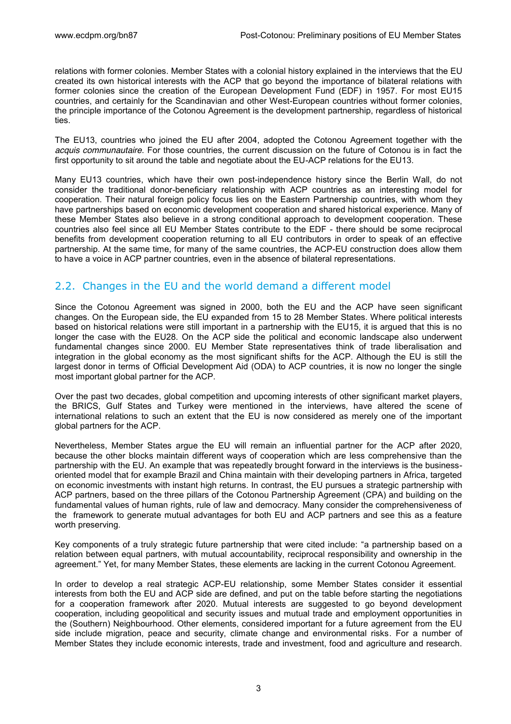relations with former colonies. Member States with a colonial history explained in the interviews that the EU created its own historical interests with the ACP that go beyond the importance of bilateral relations with former colonies since the creation of the European Development Fund (EDF) in 1957. For most EU15 countries, and certainly for the Scandinavian and other West-European countries without former colonies, the principle importance of the Cotonou Agreement is the development partnership, regardless of historical ties.

The EU13, countries who joined the EU after 2004, adopted the Cotonou Agreement together with the *acquis communautaire*. For those countries, the current discussion on the future of Cotonou is in fact the first opportunity to sit around the table and negotiate about the EU-ACP relations for the EU13.

Many EU13 countries, which have their own post-independence history since the Berlin Wall, do not consider the traditional donor-beneficiary relationship with ACP countries as an interesting model for cooperation. Their natural foreign policy focus lies on the Eastern Partnership countries, with whom they have partnerships based on economic development cooperation and shared historical experience. Many of these Member States also believe in a strong conditional approach to development cooperation. These countries also feel since all EU Member States contribute to the EDF - there should be some reciprocal benefits from development cooperation returning to all EU contributors in order to speak of an effective partnership. At the same time, for many of the same countries, the ACP-EU construction does allow them to have a voice in ACP partner countries, even in the absence of bilateral representations.

#### 2.2. Changes in the EU and the world demand a different model

Since the Cotonou Agreement was signed in 2000, both the EU and the ACP have seen significant changes. On the European side, the EU expanded from 15 to 28 Member States. Where political interests based on historical relations were still important in a partnership with the EU15, it is argued that this is no longer the case with the EU28. On the ACP side the political and economic landscape also underwent fundamental changes since 2000. EU Member State representatives think of trade liberalisation and integration in the global economy as the most significant shifts for the ACP. Although the EU is still the largest donor in terms of Official Development Aid (ODA) to ACP countries, it is now no longer the single most important global partner for the ACP.

Over the past two decades, global competition and upcoming interests of other significant market players, the BRICS, Gulf States and Turkey were mentioned in the interviews, have altered the scene of international relations to such an extent that the EU is now considered as merely one of the important global partners for the ACP.

Nevertheless, Member States argue the EU will remain an influential partner for the ACP after 2020, because the other blocks maintain different ways of cooperation which are less comprehensive than the partnership with the EU. An example that was repeatedly brought forward in the interviews is the businessoriented model that for example Brazil and China maintain with their developing partners in Africa, targeted on economic investments with instant high returns. In contrast, the EU pursues a strategic partnership with ACP partners, based on the three pillars of the Cotonou Partnership Agreement (CPA) and building on the fundamental values of human rights, rule of law and democracy. Many consider the comprehensiveness of the framework to generate mutual advantages for both EU and ACP partners and see this as a feature worth preserving.

Key components of a truly strategic future partnership that were cited include: "a partnership based on a relation between equal partners, with mutual accountability, reciprocal responsibility and ownership in the agreement." Yet, for many Member States, these elements are lacking in the current Cotonou Agreement.

In order to develop a real strategic ACP-EU relationship, some Member States consider it essential interests from both the EU and ACP side are defined, and put on the table before starting the negotiations for a cooperation framework after 2020. Mutual interests are suggested to go beyond development cooperation, including geopolitical and security issues and mutual trade and employment opportunities in the (Southern) Neighbourhood. Other elements, considered important for a future agreement from the EU side include migration, peace and security, climate change and environmental risks. For a number of Member States they include economic interests, trade and investment, food and agriculture and research.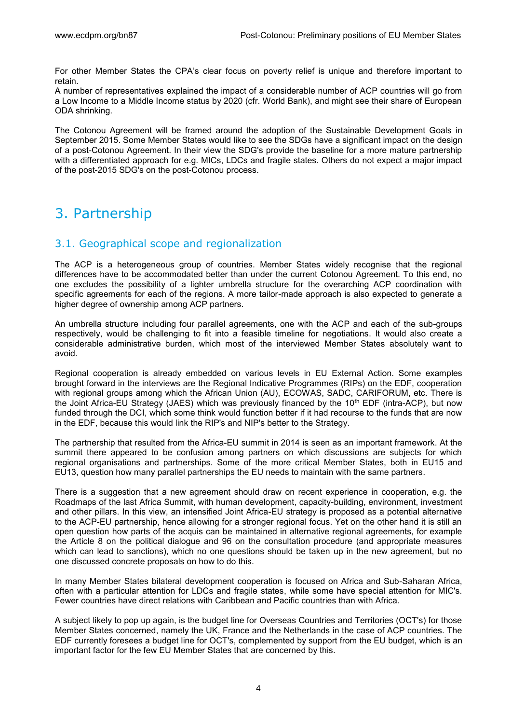For other Member States the CPA's clear focus on poverty relief is unique and therefore important to retain.

A number of representatives explained the impact of a considerable number of ACP countries will go from a Low Income to a Middle Income status by 2020 (cfr. World Bank), and might see their share of European ODA shrinking.

The Cotonou Agreement will be framed around the adoption of the Sustainable Development Goals in September 2015. Some Member States would like to see the SDGs have a significant impact on the design of a post-Cotonou Agreement. In their view the SDG's provide the baseline for a more mature partnership with a differentiated approach for e.g. MICs, LDCs and fragile states. Others do not expect a major impact of the post-2015 SDG's on the post-Cotonou process.

# 3. Partnership

#### 3.1. Geographical scope and regionalization

The ACP is a heterogeneous group of countries. Member States widely recognise that the regional differences have to be accommodated better than under the current Cotonou Agreement. To this end, no one excludes the possibility of a lighter umbrella structure for the overarching ACP coordination with specific agreements for each of the regions. A more tailor-made approach is also expected to generate a higher degree of ownership among ACP partners.

An umbrella structure including four parallel agreements, one with the ACP and each of the sub-groups respectively, would be challenging to fit into a feasible timeline for negotiations. It would also create a considerable administrative burden, which most of the interviewed Member States absolutely want to avoid.

Regional cooperation is already embedded on various levels in EU External Action. Some examples brought forward in the interviews are the Regional Indicative Programmes (RIPs) on the EDF, cooperation with regional groups among which the African Union (AU), ECOWAS, SADC, CARIFORUM, etc. There is the Joint Africa-EU Strategy (JAES) which was previously financed by the 10<sup>th</sup> EDF (intra-ACP), but now funded through the DCI, which some think would function better if it had recourse to the funds that are now in the EDF, because this would link the RIP's and NIP's better to the Strategy.

The partnership that resulted from the Africa-EU summit in 2014 is seen as an important framework. At the summit there appeared to be confusion among partners on which discussions are subjects for which regional organisations and partnerships. Some of the more critical Member States, both in EU15 and EU13, question how many parallel partnerships the EU needs to maintain with the same partners.

There is a suggestion that a new agreement should draw on recent experience in cooperation, e.g. the Roadmaps of the last Africa Summit, with human development, capacity-building, environment, investment and other pillars. In this view, an intensified Joint Africa-EU strategy is proposed as a potential alternative to the ACP-EU partnership, hence allowing for a stronger regional focus. Yet on the other hand it is still an open question how parts of the acquis can be maintained in alternative regional agreements, for example the Article 8 on the political dialogue and 96 on the consultation procedure (and appropriate measures which can lead to sanctions), which no one questions should be taken up in the new agreement, but no one discussed concrete proposals on how to do this.

In many Member States bilateral development cooperation is focused on Africa and Sub-Saharan Africa, often with a particular attention for LDCs and fragile states, while some have special attention for MIC's. Fewer countries have direct relations with Caribbean and Pacific countries than with Africa.

A subject likely to pop up again, is the budget line for Overseas Countries and Territories (OCT's) for those Member States concerned, namely the UK, France and the Netherlands in the case of ACP countries. The EDF currently foresees a budget line for OCT's, complemented by support from the EU budget, which is an important factor for the few EU Member States that are concerned by this.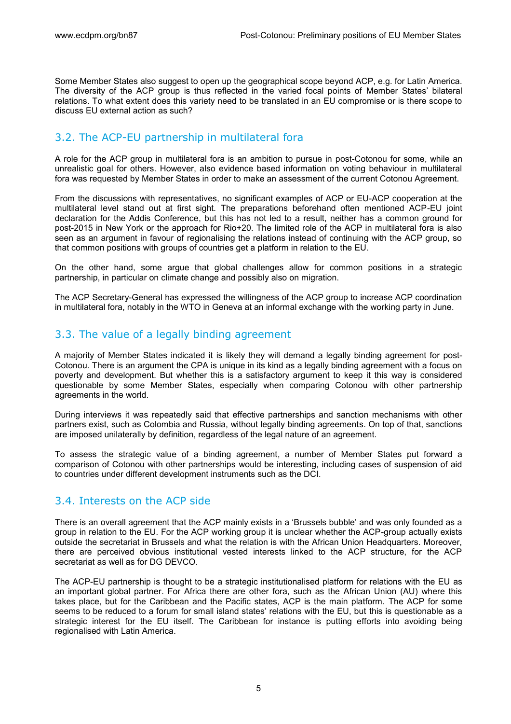Some Member States also suggest to open up the geographical scope beyond ACP, e.g. for Latin America. The diversity of the ACP group is thus reflected in the varied focal points of Member States' bilateral relations. To what extent does this variety need to be translated in an EU compromise or is there scope to discuss EU external action as such?

### 3.2. The ACP-EU partnership in multilateral fora

A role for the ACP group in multilateral fora is an ambition to pursue in post-Cotonou for some, while an unrealistic goal for others. However, also evidence based information on voting behaviour in multilateral fora was requested by Member States in order to make an assessment of the current Cotonou Agreement.

From the discussions with representatives, no significant examples of ACP or EU-ACP cooperation at the multilateral level stand out at first sight. The preparations beforehand often mentioned ACP-EU joint declaration for the Addis Conference, but this has not led to a result, neither has a common ground for post-2015 in New York or the approach for Rio+20. The limited role of the ACP in multilateral fora is also seen as an argument in favour of regionalising the relations instead of continuing with the ACP group, so that common positions with groups of countries get a platform in relation to the EU.

On the other hand, some argue that global challenges allow for common positions in a strategic partnership, in particular on climate change and possibly also on migration.

The ACP Secretary-General has expressed the willingness of the ACP group to increase ACP coordination in multilateral fora, notably in the WTO in Geneva at an informal exchange with the working party in June.

### 3.3. The value of a legally binding agreement

A majority of Member States indicated it is likely they will demand a legally binding agreement for post-Cotonou. There is an argument the CPA is unique in its kind as a legally binding agreement with a focus on poverty and development. But whether this is a satisfactory argument to keep it this way is considered questionable by some Member States, especially when comparing Cotonou with other partnership agreements in the world.

During interviews it was repeatedly said that effective partnerships and sanction mechanisms with other partners exist, such as Colombia and Russia, without legally binding agreements. On top of that, sanctions are imposed unilaterally by definition, regardless of the legal nature of an agreement.

To assess the strategic value of a binding agreement, a number of Member States put forward a comparison of Cotonou with other partnerships would be interesting, including cases of suspension of aid to countries under different development instruments such as the DCI.

### 3.4. Interests on the ACP side

There is an overall agreement that the ACP mainly exists in a 'Brussels bubble' and was only founded as a group in relation to the EU. For the ACP working group it is unclear whether the ACP-group actually exists outside the secretariat in Brussels and what the relation is with the African Union Headquarters. Moreover, there are perceived obvious institutional vested interests linked to the ACP structure, for the ACP secretariat as well as for DG DEVCO.

The ACP-EU partnership is thought to be a strategic institutionalised platform for relations with the EU as an important global partner. For Africa there are other fora, such as the African Union (AU) where this takes place, but for the Caribbean and the Pacific states, ACP is the main platform. The ACP for some seems to be reduced to a forum for small island states' relations with the EU, but this is questionable as a strategic interest for the EU itself. The Caribbean for instance is putting efforts into avoiding being regionalised with Latin America.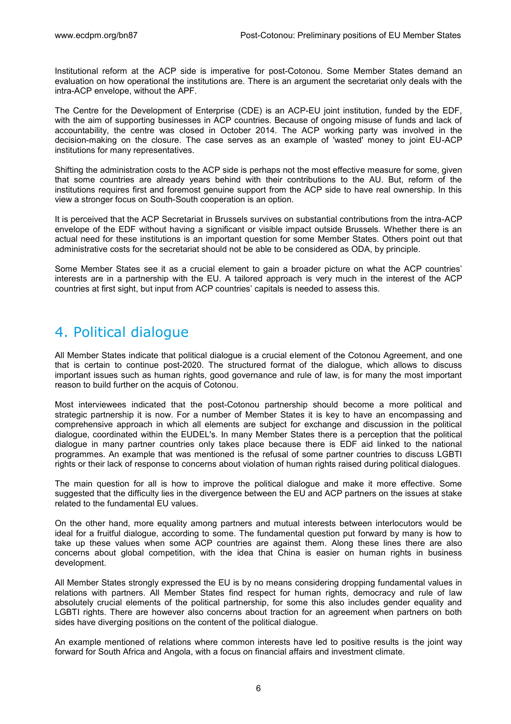Institutional reform at the ACP side is imperative for post-Cotonou. Some Member States demand an evaluation on how operational the institutions are. There is an argument the secretariat only deals with the intra-ACP envelope, without the APF.

The Centre for the Development of Enterprise (CDE) is an ACP-EU joint institution, funded by the EDF, with the aim of supporting businesses in ACP countries. Because of ongoing misuse of funds and lack of accountability, the centre was closed in October 2014. The ACP working party was involved in the decision-making on the closure. The case serves as an example of 'wasted' money to joint EU-ACP institutions for many representatives.

Shifting the administration costs to the ACP side is perhaps not the most effective measure for some, given that some countries are already years behind with their contributions to the AU. But, reform of the institutions requires first and foremost genuine support from the ACP side to have real ownership. In this view a stronger focus on South-South cooperation is an option.

It is perceived that the ACP Secretariat in Brussels survives on substantial contributions from the intra-ACP envelope of the EDF without having a significant or visible impact outside Brussels. Whether there is an actual need for these institutions is an important question for some Member States. Others point out that administrative costs for the secretariat should not be able to be considered as ODA, by principle.

Some Member States see it as a crucial element to gain a broader picture on what the ACP countries' interests are in a partnership with the EU. A tailored approach is very much in the interest of the ACP countries at first sight, but input from ACP countries' capitals is needed to assess this.

# 4. Political dialogue

All Member States indicate that political dialogue is a crucial element of the Cotonou Agreement, and one that is certain to continue post-2020. The structured format of the dialogue, which allows to discuss important issues such as human rights, good governance and rule of law, is for many the most important reason to build further on the acquis of Cotonou.

Most interviewees indicated that the post-Cotonou partnership should become a more political and strategic partnership it is now. For a number of Member States it is key to have an encompassing and comprehensive approach in which all elements are subject for exchange and discussion in the political dialogue, coordinated within the EUDEL's. In many Member States there is a perception that the political dialogue in many partner countries only takes place because there is EDF aid linked to the national programmes. An example that was mentioned is the refusal of some partner countries to discuss LGBTI rights or their lack of response to concerns about violation of human rights raised during political dialogues.

The main question for all is how to improve the political dialogue and make it more effective. Some suggested that the difficulty lies in the divergence between the EU and ACP partners on the issues at stake related to the fundamental EU values.

On the other hand, more equality among partners and mutual interests between interlocutors would be ideal for a fruitful dialogue, according to some. The fundamental question put forward by many is how to take up these values when some ACP countries are against them. Along these lines there are also concerns about global competition, with the idea that China is easier on human rights in business development.

All Member States strongly expressed the EU is by no means considering dropping fundamental values in relations with partners. All Member States find respect for human rights, democracy and rule of law absolutely crucial elements of the political partnership, for some this also includes gender equality and LGBTI rights. There are however also concerns about traction for an agreement when partners on both sides have diverging positions on the content of the political dialogue.

An example mentioned of relations where common interests have led to positive results is the joint way forward for South Africa and Angola, with a focus on financial affairs and investment climate.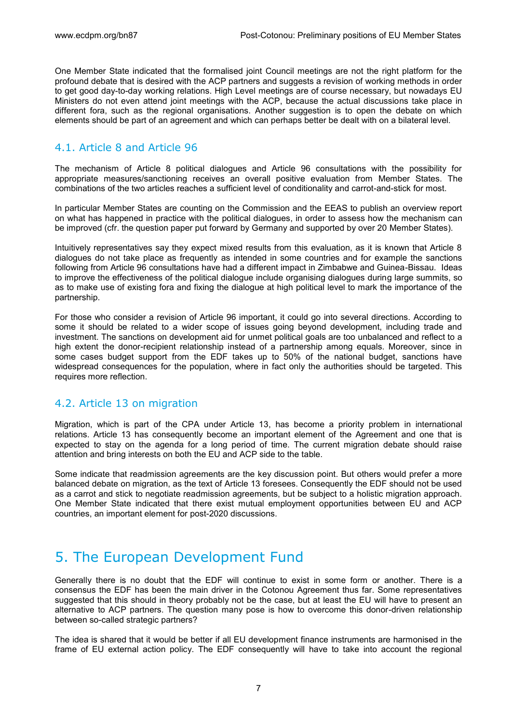One Member State indicated that the formalised joint Council meetings are not the right platform for the profound debate that is desired with the ACP partners and suggests a revision of working methods in order to get good day-to-day working relations. High Level meetings are of course necessary, but nowadays EU Ministers do not even attend joint meetings with the ACP, because the actual discussions take place in different fora, such as the regional organisations. Another suggestion is to open the debate on which elements should be part of an agreement and which can perhaps better be dealt with on a bilateral level.

### 4.1. Article 8 and Article 96

The mechanism of Article 8 political dialogues and Article 96 consultations with the possibility for appropriate measures/sanctioning receives an overall positive evaluation from Member States. The combinations of the two articles reaches a sufficient level of conditionality and carrot-and-stick for most.

In particular Member States are counting on the Commission and the EEAS to publish an overview report on what has happened in practice with the political dialogues, in order to assess how the mechanism can be improved (cfr. the question paper put forward by Germany and supported by over 20 Member States).

Intuitively representatives say they expect mixed results from this evaluation, as it is known that Article 8 dialogues do not take place as frequently as intended in some countries and for example the sanctions following from Article 96 consultations have had a different impact in Zimbabwe and Guinea-Bissau. Ideas to improve the effectiveness of the political dialogue include organising dialogues during large summits, so as to make use of existing fora and fixing the dialogue at high political level to mark the importance of the partnership.

For those who consider a revision of Article 96 important, it could go into several directions. According to some it should be related to a wider scope of issues going beyond development, including trade and investment. The sanctions on development aid for unmet political goals are too unbalanced and reflect to a high extent the donor-recipient relationship instead of a partnership among equals. Moreover, since in some cases budget support from the EDF takes up to 50% of the national budget, sanctions have widespread consequences for the population, where in fact only the authorities should be targeted. This requires more reflection.

### 4.2. Article 13 on migration

Migration, which is part of the CPA under Article 13, has become a priority problem in international relations. Article 13 has consequently become an important element of the Agreement and one that is expected to stay on the agenda for a long period of time. The current migration debate should raise attention and bring interests on both the EU and ACP side to the table.

Some indicate that readmission agreements are the key discussion point. But others would prefer a more balanced debate on migration, as the text of Article 13 foresees. Consequently the EDF should not be used as a carrot and stick to negotiate readmission agreements, but be subject to a holistic migration approach. One Member State indicated that there exist mutual employment opportunities between EU and ACP countries, an important element for post-2020 discussions.

# 5. The European Development Fund

Generally there is no doubt that the EDF will continue to exist in some form or another. There is a consensus the EDF has been the main driver in the Cotonou Agreement thus far. Some representatives suggested that this should in theory probably not be the case, but at least the EU will have to present an alternative to ACP partners. The question many pose is how to overcome this donor-driven relationship between so-called strategic partners?

The idea is shared that it would be better if all EU development finance instruments are harmonised in the frame of EU external action policy. The EDF consequently will have to take into account the regional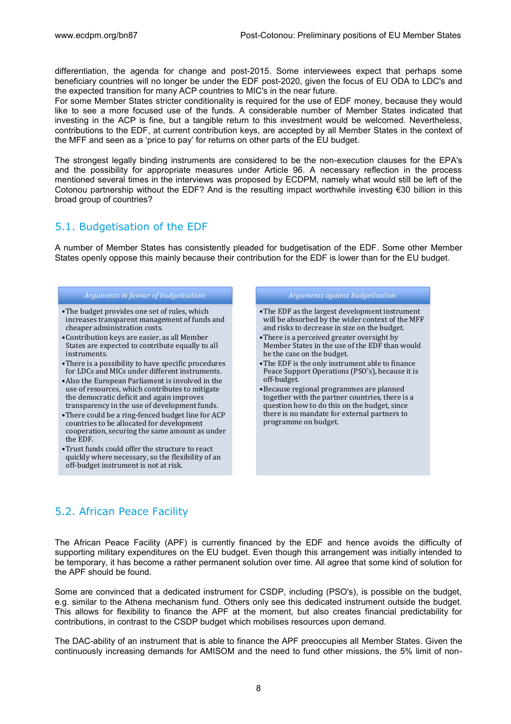differentiation, the agenda for change and post-2015. Some interviewees expect that perhaps some beneficiary countries will no longer be under the EDF post-2020, given the focus of EU ODA to LDC's and the expected transition for many ACP countries to MIC's in the near future.

For some Member States stricter conditionality is required for the use of EDF money, because they would like to see a more focused use of the funds. A considerable number of Member States indicated that investing in the ACP is fine, but a tangible return to this investment would be welcomed. Nevertheless, contributions to the EDF, at current contribution keys, are accepted by all Member States in the context of the MFF and seen as a 'price to pay' for returns on other parts of the EU budget.

The strongest legally binding instruments are considered to be the non-execution clauses for the EPA's and the possibility for appropriate measures under Article 96. A necessary reflection in the process mentioned several times in the interviews was proposed by ECDPM, namely what would still be left of the Cotonou partnership without the EDF? And is the resulting impact worthwhile investing €30 billion in this broad group of countries?

### 5.1. Budgetisation of the EDF

A number of Member States has consistently pleaded for budgetisation of the EDF. Some other Member States openly oppose this mainly because their contribution for the EDF is lower than for the EU budget.

#### *Arguments in favour of budgetisation:*

- •The budget provides one set of rules, which increases transparent management of funds and cheaper administration costs.
- •Contribution keys are easier, as all Member States are expected to contribute equally to all instruments.
- •There is a possibility to have specific procedures for LDCs and MICs under different instruments.
- •Also the European Parliament is involved in the use of resources, which contributes to mitigate the democratic deficit and again improves transparency in the use of development funds.
- •There could be a ring-fenced budget line for ACP countries to be allocated for development cooperation, securing the same amount as under the EDF.
- •Trust funds could offer the structure to react quickly where necessary, so the flexibility of an off-budget instrument is not at risk.

#### *Arguments against budgetisation:*

- •The EDF as the largest development instrument will be absorbed by the wider context of the MFF and risks to decrease in size on the budget.
- •There is a perceived greater oversight by Member States in the use of the EDF than would be the case on the budget.
- •The EDF is the only instrument able to finance Peace Support Operations (PSO's), because it is off-budget.
- •Because regional programmes are planned together with the partner countries, there is a question how to do this on the budget, since there is no mandate for external partners to programme on budget.

### 5.2. African Peace Facility

The African Peace Facility (APF) is currently financed by the EDF and hence avoids the difficulty of supporting military expenditures on the EU budget. Even though this arrangement was initially intended to be temporary, it has become a rather permanent solution over time. All agree that some kind of solution for the APF should be found.

Some are convinced that a dedicated instrument for CSDP, including (PSO's), is possible on the budget, e.g. similar to the Athena mechanism fund. Others only see this dedicated instrument outside the budget. This allows for flexibility to finance the APF at the moment, but also creates financial predictability for contributions, in contrast to the CSDP budget which mobilises resources upon demand.

The DAC-ability of an instrument that is able to finance the APF preoccupies all Member States. Given the continuously increasing demands for AMISOM and the need to fund other missions, the 5% limit of non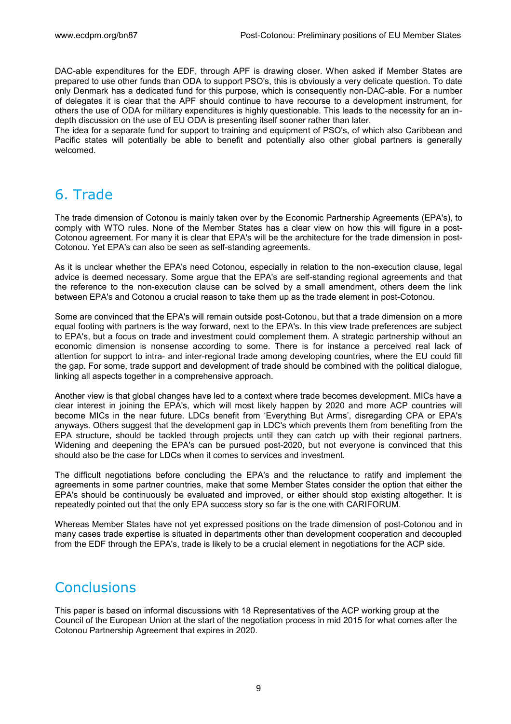DAC-able expenditures for the EDF, through APF is drawing closer. When asked if Member States are prepared to use other funds than ODA to support PSO's, this is obviously a very delicate question. To date only Denmark has a dedicated fund for this purpose, which is consequently non-DAC-able. For a number of delegates it is clear that the APF should continue to have recourse to a development instrument, for others the use of ODA for military expenditures is highly questionable. This leads to the necessity for an indepth discussion on the use of EU ODA is presenting itself sooner rather than later.

The idea for a separate fund for support to training and equipment of PSO's, of which also Caribbean and Pacific states will potentially be able to benefit and potentially also other global partners is generally welcomed.

# 6. Trade

The trade dimension of Cotonou is mainly taken over by the Economic Partnership Agreements (EPA's), to comply with WTO rules. None of the Member States has a clear view on how this will figure in a post-Cotonou agreement. For many it is clear that EPA's will be the architecture for the trade dimension in post-Cotonou. Yet EPA's can also be seen as self-standing agreements.

As it is unclear whether the EPA's need Cotonou, especially in relation to the non-execution clause, legal advice is deemed necessary. Some argue that the EPA's are self-standing regional agreements and that the reference to the non-execution clause can be solved by a small amendment, others deem the link between EPA's and Cotonou a crucial reason to take them up as the trade element in post-Cotonou.

Some are convinced that the EPA's will remain outside post-Cotonou, but that a trade dimension on a more equal footing with partners is the way forward, next to the EPA's. In this view trade preferences are subject to EPA's, but a focus on trade and investment could complement them. A strategic partnership without an economic dimension is nonsense according to some. There is for instance a perceived real lack of attention for support to intra- and inter-regional trade among developing countries, where the EU could fill the gap. For some, trade support and development of trade should be combined with the political dialogue, linking all aspects together in a comprehensive approach.

Another view is that global changes have led to a context where trade becomes development. MICs have a clear interest in joining the EPA's, which will most likely happen by 2020 and more ACP countries will become MICs in the near future. LDCs benefit from 'Everything But Arms', disregarding CPA or EPA's anyways. Others suggest that the development gap in LDC's which prevents them from benefiting from the EPA structure, should be tackled through projects until they can catch up with their regional partners. Widening and deepening the EPA's can be pursued post-2020, but not everyone is convinced that this should also be the case for LDCs when it comes to services and investment.

The difficult negotiations before concluding the EPA's and the reluctance to ratify and implement the agreements in some partner countries, make that some Member States consider the option that either the EPA's should be continuously be evaluated and improved, or either should stop existing altogether. It is repeatedly pointed out that the only EPA success story so far is the one with CARIFORUM.

Whereas Member States have not yet expressed positions on the trade dimension of post-Cotonou and in many cases trade expertise is situated in departments other than development cooperation and decoupled from the EDF through the EPA's, trade is likely to be a crucial element in negotiations for the ACP side.

# **Conclusions**

This paper is based on informal discussions with 18 Representatives of the ACP working group at the Council of the European Union at the start of the negotiation process in mid 2015 for what comes after the Cotonou Partnership Agreement that expires in 2020.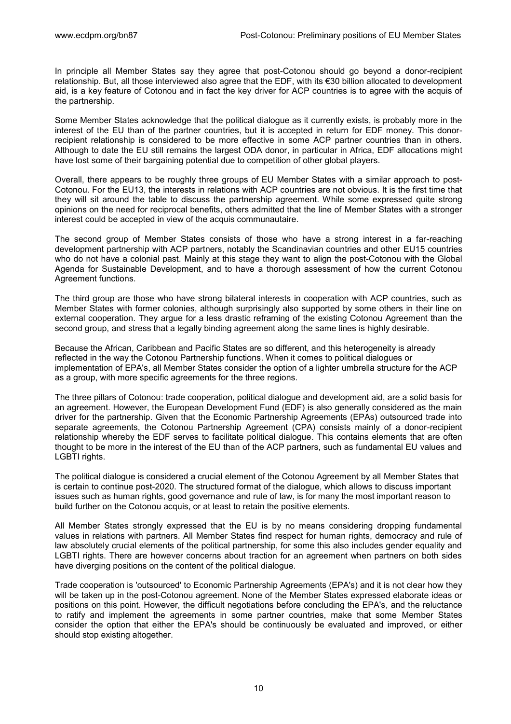In principle all Member States say they agree that post-Cotonou should go beyond a donor-recipient relationship. But, all those interviewed also agree that the EDF, with its €30 billion allocated to development aid, is a key feature of Cotonou and in fact the key driver for ACP countries is to agree with the acquis of the partnership.

Some Member States acknowledge that the political dialogue as it currently exists, is probably more in the interest of the EU than of the partner countries, but it is accepted in return for EDF money. This donorrecipient relationship is considered to be more effective in some ACP partner countries than in others. Although to date the EU still remains the largest ODA donor, in particular in Africa, EDF allocations might have lost some of their bargaining potential due to competition of other global players.

Overall, there appears to be roughly three groups of EU Member States with a similar approach to post-Cotonou. For the EU13, the interests in relations with ACP countries are not obvious. It is the first time that they will sit around the table to discuss the partnership agreement. While some expressed quite strong opinions on the need for reciprocal benefits, others admitted that the line of Member States with a stronger interest could be accepted in view of the acquis communautaire.

The second group of Member States consists of those who have a strong interest in a far-reaching development partnership with ACP partners, notably the Scandinavian countries and other EU15 countries who do not have a colonial past. Mainly at this stage they want to align the post-Cotonou with the Global Agenda for Sustainable Development, and to have a thorough assessment of how the current Cotonou Agreement functions.

The third group are those who have strong bilateral interests in cooperation with ACP countries, such as Member States with former colonies, although surprisingly also supported by some others in their line on external cooperation. They argue for a less drastic reframing of the existing Cotonou Agreement than the second group, and stress that a legally binding agreement along the same lines is highly desirable.

Because the African, Caribbean and Pacific States are so different, and this heterogeneity is already reflected in the way the Cotonou Partnership functions. When it comes to political dialogues or implementation of EPA's, all Member States consider the option of a lighter umbrella structure for the ACP as a group, with more specific agreements for the three regions.

The three pillars of Cotonou: trade cooperation, political dialogue and development aid, are a solid basis for an agreement. However, the European Development Fund (EDF) is also generally considered as the main driver for the partnership. Given that the Economic Partnership Agreements (EPAs) outsourced trade into separate agreements, the Cotonou Partnership Agreement (CPA) consists mainly of a donor-recipient relationship whereby the EDF serves to facilitate political dialogue. This contains elements that are often thought to be more in the interest of the EU than of the ACP partners, such as fundamental EU values and LGBTI rights.

The political dialogue is considered a crucial element of the Cotonou Agreement by all Member States that is certain to continue post-2020. The structured format of the dialogue, which allows to discuss important issues such as human rights, good governance and rule of law, is for many the most important reason to build further on the Cotonou acquis, or at least to retain the positive elements.

All Member States strongly expressed that the EU is by no means considering dropping fundamental values in relations with partners. All Member States find respect for human rights, democracy and rule of law absolutely crucial elements of the political partnership, for some this also includes gender equality and LGBTI rights. There are however concerns about traction for an agreement when partners on both sides have diverging positions on the content of the political dialogue.

Trade cooperation is 'outsourced' to Economic Partnership Agreements (EPA's) and it is not clear how they will be taken up in the post-Cotonou agreement. None of the Member States expressed elaborate ideas or positions on this point. However, the difficult negotiations before concluding the EPA's, and the reluctance to ratify and implement the agreements in some partner countries, make that some Member States consider the option that either the EPA's should be continuously be evaluated and improved, or either should stop existing altogether.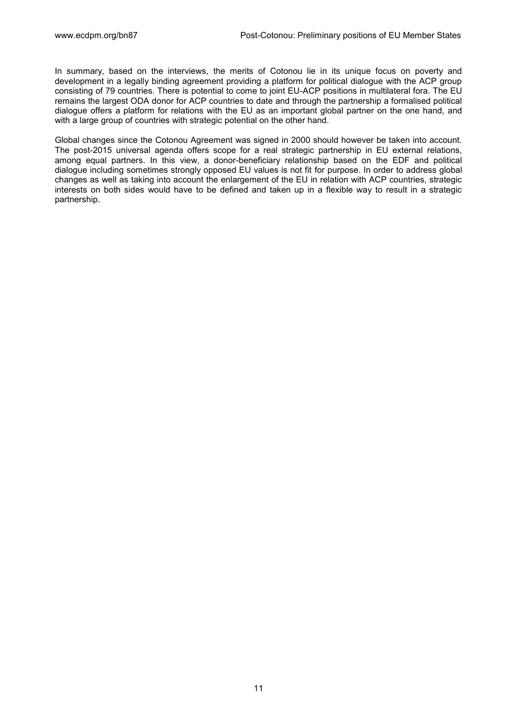In summary, based on the interviews, the merits of Cotonou lie in its unique focus on poverty and development in a legally binding agreement providing a platform for political dialogue with the ACP group consisting of 79 countries. There is potential to come to joint EU-ACP positions in multilateral fora. The EU remains the largest ODA donor for ACP countries to date and through the partnership a formalised political dialogue offers a platform for relations with the EU as an important global partner on the one hand, and with a large group of countries with strategic potential on the other hand.

Global changes since the Cotonou Agreement was signed in 2000 should however be taken into account. The post-2015 universal agenda offers scope for a real strategic partnership in EU external relations, among equal partners. In this view, a donor-beneficiary relationship based on the EDF and political dialogue including sometimes strongly opposed EU values is not fit for purpose. In order to address global changes as well as taking into account the enlargement of the EU in relation with ACP countries, strategic interests on both sides would have to be defined and taken up in a flexible way to result in a strategic partnership.